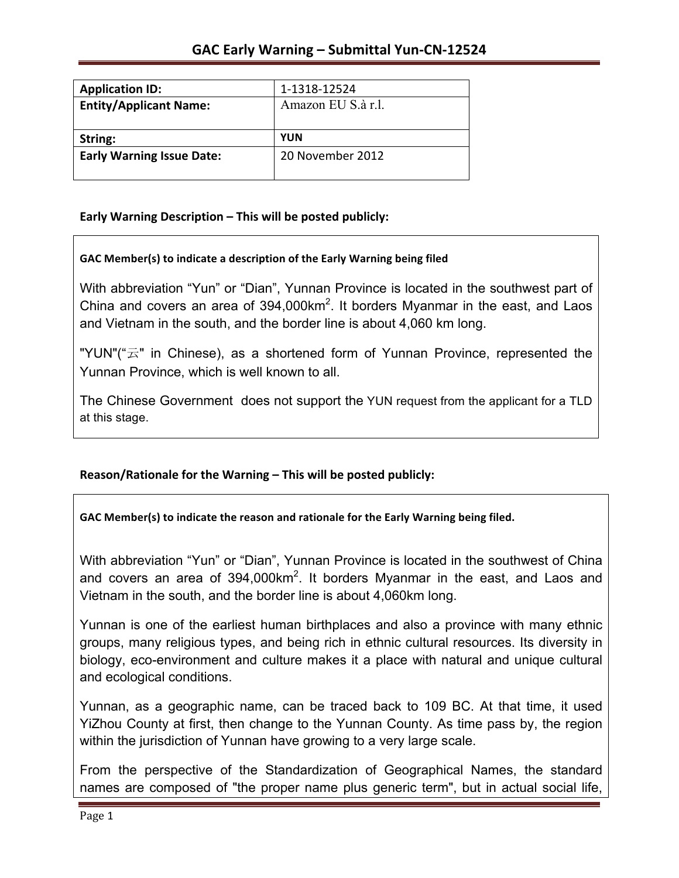| <b>Application ID:</b>           | 1-1318-12524       |
|----------------------------------|--------------------|
| <b>Entity/Applicant Name:</b>    | Amazon EU S.à r.l. |
|                                  |                    |
| String:                          | <b>YUN</b>         |
| <b>Early Warning Issue Date:</b> | 20 November 2012   |
|                                  |                    |

## **Early Warning Description – This will be posted publicly:**

## GAC Member(s) to indicate a description of the Early Warning being filed

With abbreviation "Yun" or "Dian", Yunnan Province is located in the southwest part of China and covers an area of 394,000 km<sup>2</sup>. It borders Myanmar in the east, and Laos and Vietnam in the south, and the border line is about 4,060 km long.

"YUN"("云" in Chinese), as a shortened form of Yunnan Province, represented the Yunnan Province, which is well known to all.

The Chinese Government does not support the YUN request from the applicant for a TLD at this stage.

## Reason/Rationale for the Warning – This will be posted publicly:

GAC Member(s) to indicate the reason and rationale for the Early Warning being filed.

With abbreviation "Yun" or "Dian", Yunnan Province is located in the southwest of China and covers an area of 394,000 $km^2$ . It borders Myanmar in the east, and Laos and Vietnam in the south, and the border line is about 4,060km long.

Yunnan is one of the earliest human birthplaces and also a province with many ethnic groups, many religious types, and being rich in ethnic cultural resources. Its diversity in biology, eco-environment and culture makes it a place with natural and unique cultural and ecological conditions.

Yunnan, as a geographic name, can be traced back to 109 BC. At that time, it used YiZhou County at first, then change to the Yunnan County. As time pass by, the region within the jurisdiction of Yunnan have growing to a very large scale.

From the perspective of the Standardization of Geographical Names, the standard names are composed of "the proper name plus generic term", but in actual social life,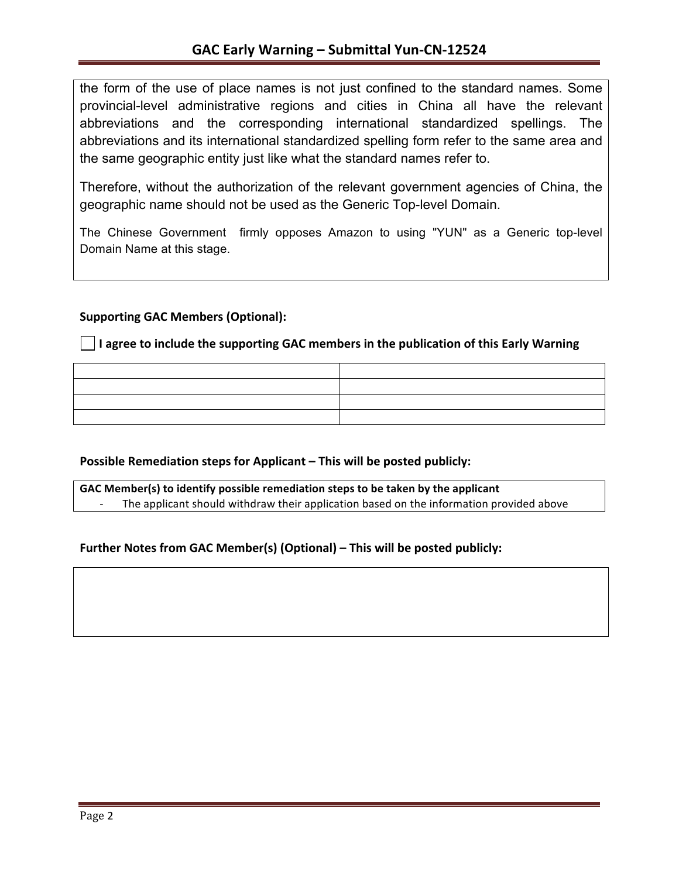the form of the use of place names is not just confined to the standard names. Some provincial-level administrative regions and cities in China all have the relevant abbreviations and the corresponding international standardized spellings. The abbreviations and its international standardized spelling form refer to the same area and the same geographic entity just like what the standard names refer to.

Therefore, without the authorization of the relevant government agencies of China, the geographic name should not be used as the Generic Top-level Domain.

The Chinese Government firmly opposes Amazon to using "YUN" as a Generic top-level Domain Name at this stage.

### **Supporting GAC Members (Optional):**

**I** I agree to include the supporting GAC members in the publication of this Early Warning

| the control of the control of the control of the control of the control of the control of the control of the control of the control of the control of the control of the control of the control of the control of the control |  |
|-------------------------------------------------------------------------------------------------------------------------------------------------------------------------------------------------------------------------------|--|

## **Possible Remediation steps for Applicant – This will be posted publicly:**

GAC Member(s) to identify possible remediation steps to be taken by the applicant The applicant should withdraw their application based on the information provided above

## Further Notes from GAC Member(s) (Optional) – This will be posted publicly: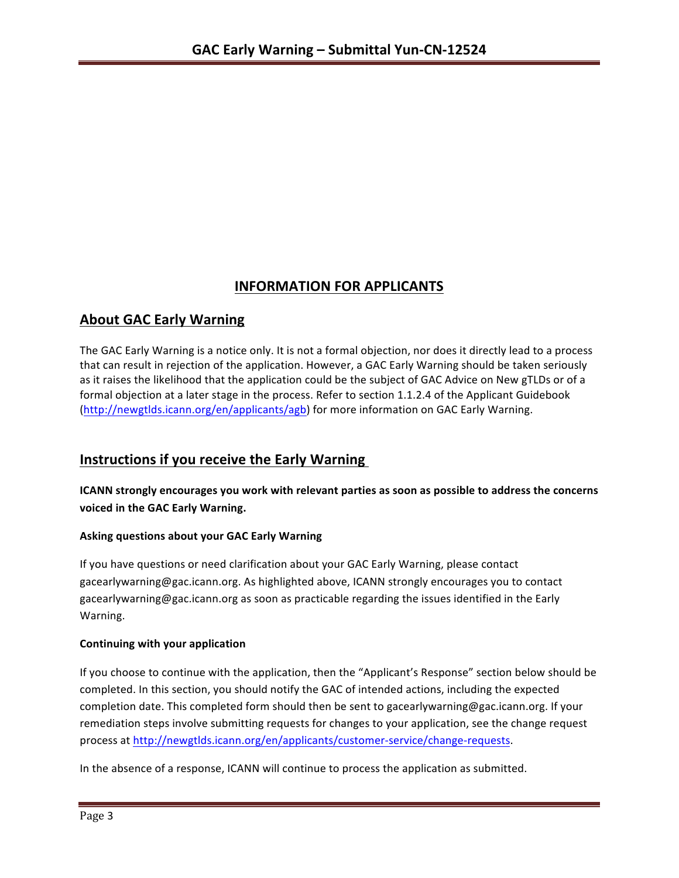# **INFORMATION FOR APPLICANTS**

## **About GAC Early Warning**

The GAC Early Warning is a notice only. It is not a formal objection, nor does it directly lead to a process that can result in rejection of the application. However, a GAC Early Warning should be taken seriously as it raises the likelihood that the application could be the subject of GAC Advice on New gTLDs or of a formal objection at a later stage in the process. Refer to section 1.1.2.4 of the Applicant Guidebook (http://newgtlds.icann.org/en/applicants/agb) for more information on GAC Early Warning.

# **Instructions if you receive the Early Warning**

**ICANN** strongly encourages you work with relevant parties as soon as possible to address the concerns **voiced in the GAC Early Warning.** 

### **Asking questions about your GAC Early Warning**

If you have questions or need clarification about your GAC Early Warning, please contact gacearlywarning@gac.icann.org. As highlighted above, ICANN strongly encourages you to contact gacearlywarning@gac.icann.org as soon as practicable regarding the issues identified in the Early Warning. 

### **Continuing with your application**

If you choose to continue with the application, then the "Applicant's Response" section below should be completed. In this section, you should notify the GAC of intended actions, including the expected completion date. This completed form should then be sent to gacearlywarning@gac.icann.org. If your remediation steps involve submitting requests for changes to your application, see the change request process at http://newgtlds.icann.org/en/applicants/customer-service/change-requests.

In the absence of a response, ICANN will continue to process the application as submitted.